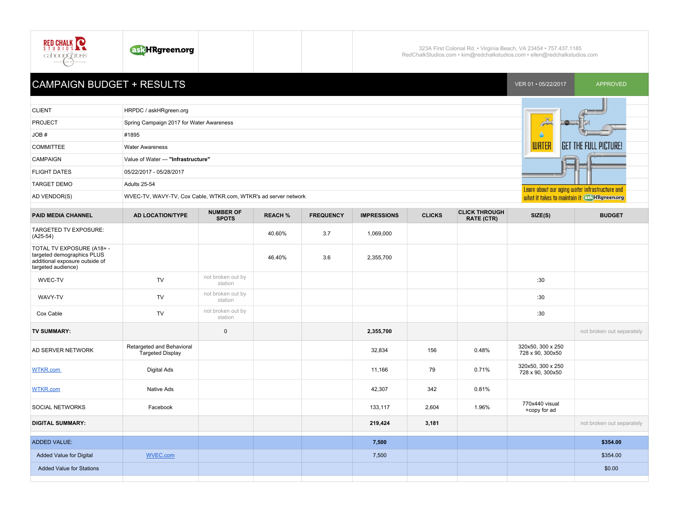